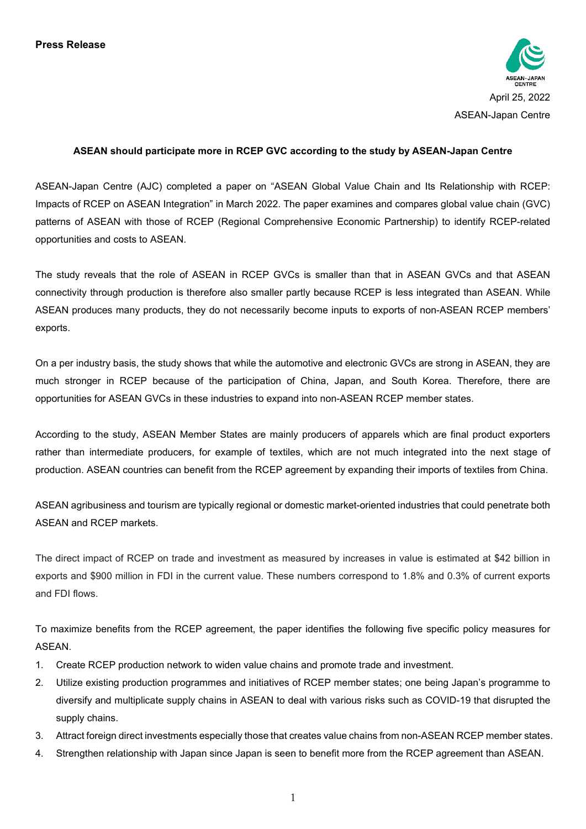

## **ASEAN should participate more in RCEP GVC according to the study by ASEAN-Japan Centre**

ASEAN-Japan Centre (AJC) completed a paper on "ASEAN Global Value Chain and Its Relationship with RCEP: Impacts of RCEP on ASEAN Integration" in March 2022. The paper examines and compares global value chain (GVC) patterns of ASEAN with those of RCEP (Regional Comprehensive Economic Partnership) to identify RCEP-related opportunities and costs to ASEAN.

The study reveals that the role of ASEAN in RCEP GVCs is smaller than that in ASEAN GVCs and that ASEAN connectivity through production is therefore also smaller partly because RCEP is less integrated than ASEAN. While ASEAN produces many products, they do not necessarily become inputs to exports of non-ASEAN RCEP members' exports.

On a per industry basis, the study shows that while the automotive and electronic GVCs are strong in ASEAN, they are much stronger in RCEP because of the participation of China, Japan, and South Korea. Therefore, there are opportunities for ASEAN GVCs in these industries to expand into non-ASEAN RCEP member states.

According to the study, ASEAN Member States are mainly producers of apparels which are final product exporters rather than intermediate producers, for example of textiles, which are not much integrated into the next stage of production. ASEAN countries can benefit from the RCEP agreement by expanding their imports of textiles from China.

ASEAN agribusiness and tourism are typically regional or domestic market-oriented industries that could penetrate both ASEAN and RCEP markets.

The direct impact of RCEP on trade and investment as measured by increases in value is estimated at \$42 billion in exports and \$900 million in FDI in the current value. These numbers correspond to 1.8% and 0.3% of current exports and FDI flows.

To maximize benefits from the RCEP agreement, the paper identifies the following five specific policy measures for ASEAN.

- 1. Create RCEP production network to widen value chains and promote trade and investment.
- 2. Utilize existing production programmes and initiatives of RCEP member states; one being Japan's programme to diversify and multiplicate supply chains in ASEAN to deal with various risks such as COVID-19 that disrupted the supply chains.
- 3. Attract foreign direct investments especially those that creates value chains from non-ASEAN RCEP member states.
- 4. Strengthen relationship with Japan since Japan is seen to benefit more from the RCEP agreement than ASEAN.